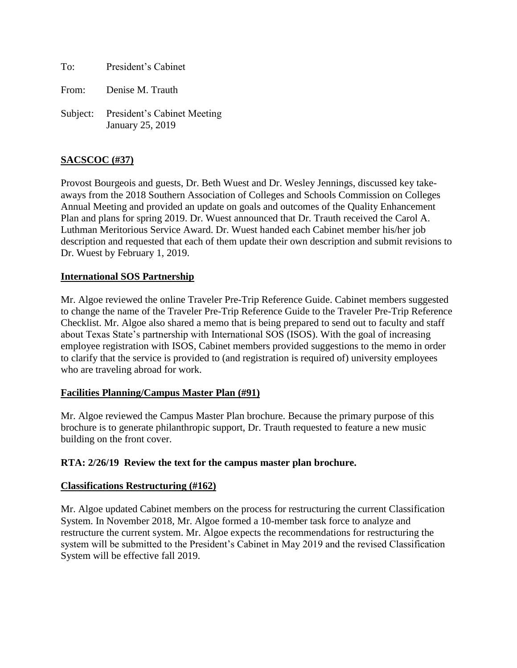To: President's Cabinet

From: Denise M. Trauth

Subject: President's Cabinet Meeting January 25, 2019

# **SACSCOC (#37)**

Provost Bourgeois and guests, Dr. Beth Wuest and Dr. Wesley Jennings, discussed key takeaways from the 2018 Southern Association of Colleges and Schools Commission on Colleges Annual Meeting and provided an update on goals and outcomes of the Quality Enhancement Plan and plans for spring 2019. Dr. Wuest announced that Dr. Trauth received the Carol A. Luthman Meritorious Service Award. Dr. Wuest handed each Cabinet member his/her job description and requested that each of them update their own description and submit revisions to Dr. Wuest by February 1, 2019.

### **International SOS Partnership**

Mr. Algoe reviewed the online Traveler Pre-Trip Reference Guide. Cabinet members suggested to change the name of the Traveler Pre-Trip Reference Guide to the Traveler Pre-Trip Reference Checklist. Mr. Algoe also shared a memo that is being prepared to send out to faculty and staff about Texas State's partnership with International SOS (ISOS). With the goal of increasing employee registration with ISOS, Cabinet members provided suggestions to the memo in order to clarify that the service is provided to (and registration is required of) university employees who are traveling abroad for work.

### **Facilities Planning/Campus Master Plan (#91)**

Mr. Algoe reviewed the Campus Master Plan brochure. Because the primary purpose of this brochure is to generate philanthropic support, Dr. Trauth requested to feature a new music building on the front cover.

### **RTA: 2/26/19 Review the text for the campus master plan brochure.**

### **Classifications Restructuring (#162)**

Mr. Algoe updated Cabinet members on the process for restructuring the current Classification System. In November 2018, Mr. Algoe formed a 10-member task force to analyze and restructure the current system. Mr. Algoe expects the recommendations for restructuring the system will be submitted to the President's Cabinet in May 2019 and the revised Classification System will be effective fall 2019.